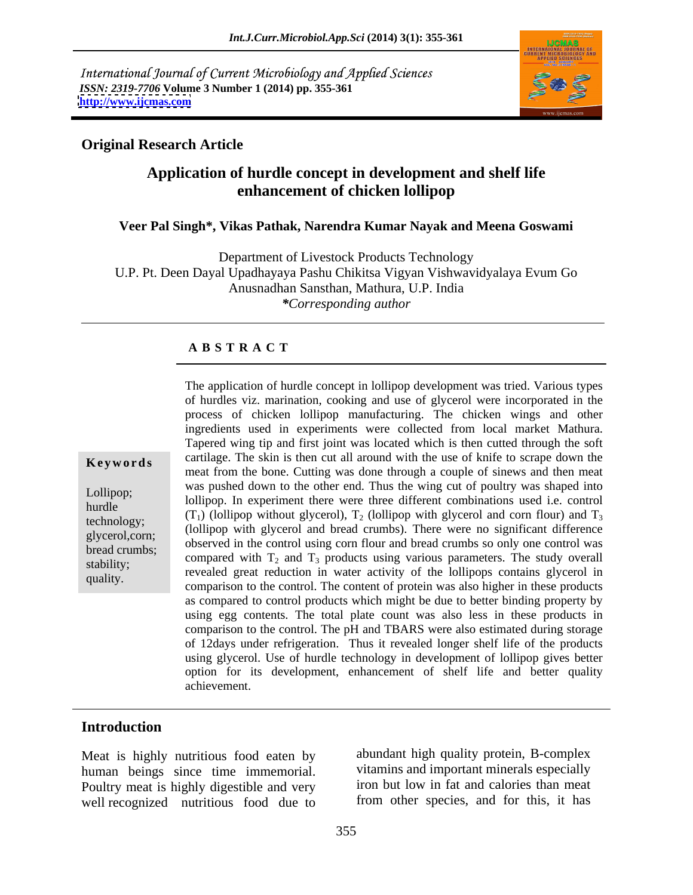International Journal of Current Microbiology and Applied Sciences *ISSN: 2319-7706* **Volume 3 Number 1 (2014) pp. 355-361 <http://www.ijcmas.com>**



## **Original Research Article**

# **Application of hurdle concept in development and shelf life enhancement of chicken lollipop**

### **Veer Pal Singh\*, Vikas Pathak, Narendra Kumar Nayak and Meena Goswami**

Department of Livestock Products Technology U.P. Pt. Deen Dayal Upadhayaya Pashu Chikitsa Vigyan Vishwavidyalaya Evum Go Anusnadhan Sansthan, Mathura, U.P. India *\*Corresponding author* 

### **A B S T R A C T**

**Keywords** cartilage. The skin is then cut all around with the use of knife to scrape down the Lollipop;<br>
lollipop. In experiment there were three different combinations used i.e. control hurdle  $(T_1)$  (lollipop without glycerol),  $T_2$  (lollipop with glycerol and corn flour) and  $T_3$ technology;  $(1)$  (lollipop without glycerol),  $1<sub>2</sub>$  (lollipop with glycerol and bread crumbs). There were no significant difference glycerol,corn;<br>broad crumbs: observed in the control using corn flour and bread crumbs so only one control was bread crumbs;<br>
compared with  $T_2$  and  $T_3$  products using various parameters. The study overall stability;<br>revealed great reduction in water activity of the lollipops contains glycerol in quality. comparison to the control. The content of protein was also higher in these products The application of hurdle concept in lollipop development was tried. Various types of hurdles viz. marination, cooking and use of glycerol were incorporated in the process of chicken lollipop manufacturing. The chicken wings and other ingredients used in experiments were collected from local market Mathura. Tapered wing tip and first joint was located which is then cutted through the soft meat from the bone. Cutting was done through a couple of sinews and then meat was pushed down to the other end. Thus the wing cut of poultry wasshaped into as compared to control products which might be due to better binding property by using egg contents. The total plate count was also less in these products in comparison to the control. The pH and TBARS were also estimated during storage of 12days under refrigeration. Thus it revealed longer shelf life of the products using glycerol. Use of hurdle technology in development of lollipop gives better option for its development, enhancement of shelf life and better quality achievement.

### **Introduction**

Meat is highly nutritious food eaten by human beings since time immemorial. Poultry meat is highly digestible and very well recognized nutritious food due to

abundant high quality protein, B-complex vitamins and important minerals especially iron but low in fat and calories than meat from other species, and for this, it has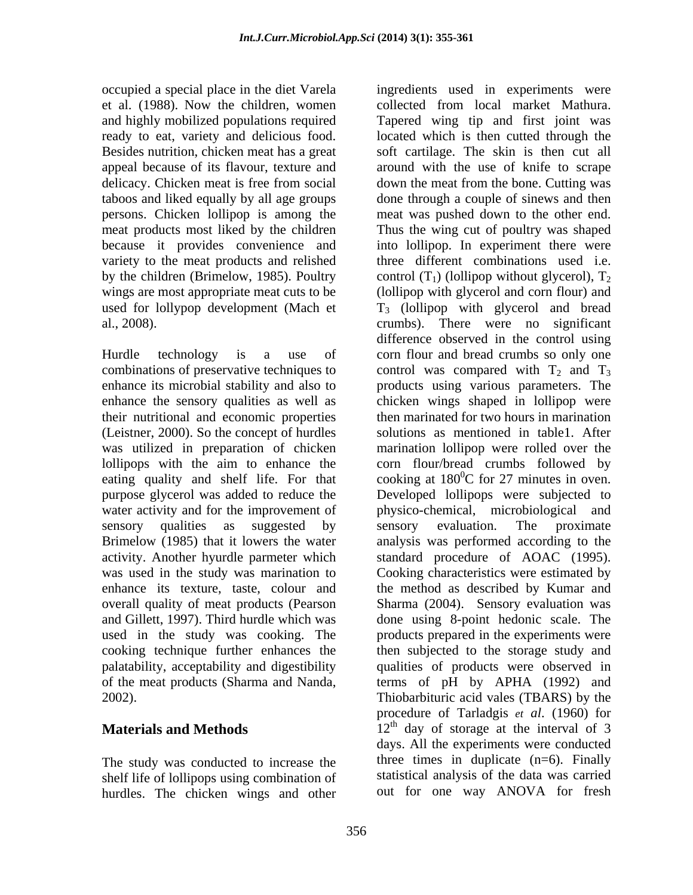occupied a special place in the diet Varela ingredients used in experiments were variety to the meat products and relished used for lollypop development (Mach et

(Leistner, 2000). So the concept of hurdles lollipops with the aim to enhance the used in the study was cooking. The

The study was conducted to increase the shelf life of lollipops using combination of hurdles. The chicken wings and other

et al. (1988). Now the children, women collected from local market Mathura. and highly mobilized populations required Tapered wing tip and first joint was ready to eat, variety and delicious food. located which is then cutted through the Besides nutrition, chicken meat has a great soft cartilage. The skin is then cut all appeal because of its flavour, texture and around with the use of knife to scrape delicacy. Chicken meat is free from social down the meat from the bone. Cutting was taboos and liked equally by all age groups done through a couple of sinews and then persons. Chicken lollipop is among the meat was pushed down to the other end. meat products most liked by the children Thus the wing cut of poultry was shaped because it provides convenience and into lollipop. In experiment there were by the children (Brimelow, 1985). Poultry control  $(T_1)$  (lollipop without glycerol),  $T_2$ wings are most appropriate meat cuts to be (lollipop with glycerol and corn flour) and al., 2008). crumbs). There were no significant Hurdle technology is a use of corn flour and bread crumbs so only one combinations of preservative techniques to control was compared with  $T_2$  and  $T_3$ enhance its microbial stability and also to products using various parameters. The enhance the sensory qualities as well as chicken wings shaped in lollipop were their nutritional and economic properties then marinated for two hours in marination was utilized in preparation of chicken marination lollipop were rolled over the eating quality and shelf life. For that  $\sim$  cooking at 180<sup>0</sup>C for 27 minutes in oven. purpose glycerol was added to reduce the Developed lollipops were subjected to water activity and for the improvement of physico-chemical, microbiological and sensory qualities as suggested by sensory evaluation. The proximate Brimelow (1985) that it lowers the water analysis was performed according to the activity. Another hyurdle parmeter which standard procedure of AOAC (1995). was used in the study was marination to Cooking characteristics were estimated by enhance its texture, taste, colour and the method as described by Kumar and overall quality of meat products (Pearson Sharma (2004). Sensory evaluation was and Gillett, 1997). Third hurdle which was done using 8-point hedonic scale. The cooking technique further enhances the then subjected to the storage study and palatability, acceptability and digestibility qualities of products were observed in of the meat products (Sharma and Nanda, terms of pH by APHA (1992) and 2002). Thiobarbituric acid vales (TBARS) by the **Materials and Methods** 12<sup>th</sup> day of storage at the interval of 3 three different combinations used i.e. T3 (lollipop with glycerol and bread difference observed in the control using solutions as mentioned in table1. After corn flour/bread crumbs followed by  ${}^{0}C$  for 27 minutes in oven. sensory evaluation. The proximate products prepared in the experiments were procedure of Tarladgis *et al*. (1960) for days. All the experiments were conducted three times in duplicate  $(n=6)$ . Finally statistical analysis of the data was carried out for one way ANOVA for fresh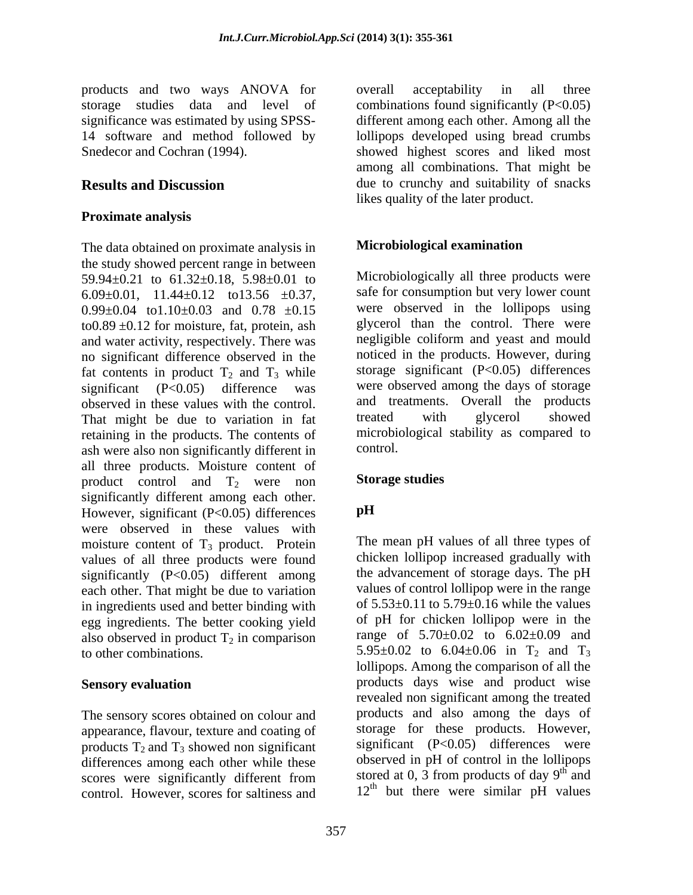products and two ways ANOVA for

## **Proximate analysis**

The data obtained on proximate analysis in the study showed percent range in between 59.94±0.21 to 61.32±0.18, 5.98±0.01 to 6.09 $\pm$ 0.01, 11.44 $\pm$ 0.12 to13.56  $\pm$ 0.37,  $0.99\pm0.04$  to  $1.10\pm0.03$  and  $0.78\pm0.15$ to  $0.89 \pm 0.12$  for moisture, fat, protein, ash and water activity, respectively. There was no significant difference observed in the fat contents in product  $T_2$  and  $T_3$  while<br>significant (P<0.05) difference was significant (P<0.05) difference was were observed among the days of storage observed in these values with the control. and treatments. Overall the products<br>That might be due to variation in fat treated with glycerol showed retaining in the products. The contents of microbion<br>ash were also non significantly different in control. ash were also non significantly different in all three products. Moisture content of product control and  $T_2$  were non significantly different among each other.<br>However significant  $(P < 0.05)$  differences However, significant (P<0.05) differences were observed in these values with moisture content of  $T_3$  product. Protein values of all three products were found significantly  $(P<0.05)$  different among each other. That might be due to variation in ingredients used and better binding with egg ingredients. The better cooking yield also observed in product  $T_2$  in comparison<br>to other combinations. to other combinations.  $5.95\pm0.02$  to  $6.04\pm0.06$  in T<sub>2</sub> and T<sub>3</sub>

The sensory scores obtained on colour and appearance, flavour, texture and coating of products  $T_2$  and  $T_3$  showed non significant differences among each other while these control. However, scores for saltiness and

storage studies data and level of combinations found significantly (P<0.05) significance was estimated by using SPSS- different among each other. Among all the 14 software and method followed by lollipops developed using bread crumbs Snedecor and Cochran (1994). showed highest scores and liked most **Results and Discussion** due to crunchy and suitability of snacks overall acceptability in all three among all combinations. That might be likes quality of the later product.

## **Microbiological examination**

Microbiologically all three products were safe for consumption but very lower count were observed in the lollipops using glycerol than the control. There were negligible coliform and yeast and mould noticed in the products. However, during storage significant  $(P<0.05)$  differences and treatments. Overall the products treated with glycerol showed microbiological stability as compared to control.

## **Storage studies**

# **pH**

**Sensory evaluation Example 20 products** days wise and product wise scores were significantly different from stored at 0, 3 from products of day  $9^{\circ}$  and The mean pH values of all three types of chicken lollipop increased gradually with the advancement of storage days. The pH values of control lollipop were in the range of 5.53±0.11 to 5.79±0.16 while the values of pH for chicken lollipop were in the range of  $5.70 \pm 0.02$  to  $6.02 \pm 0.09$  and lollipops. Among the comparison of all the revealed non significant among the treated products and also among the days of storage for these products. However, significant (P<0.05) differences were observed in pH of control in the lollipops stored at 0, 3 from products of day  $9<sup>th</sup>$  and  $\ln \theta$ and  $12<sup>th</sup>$  but there were similar pH values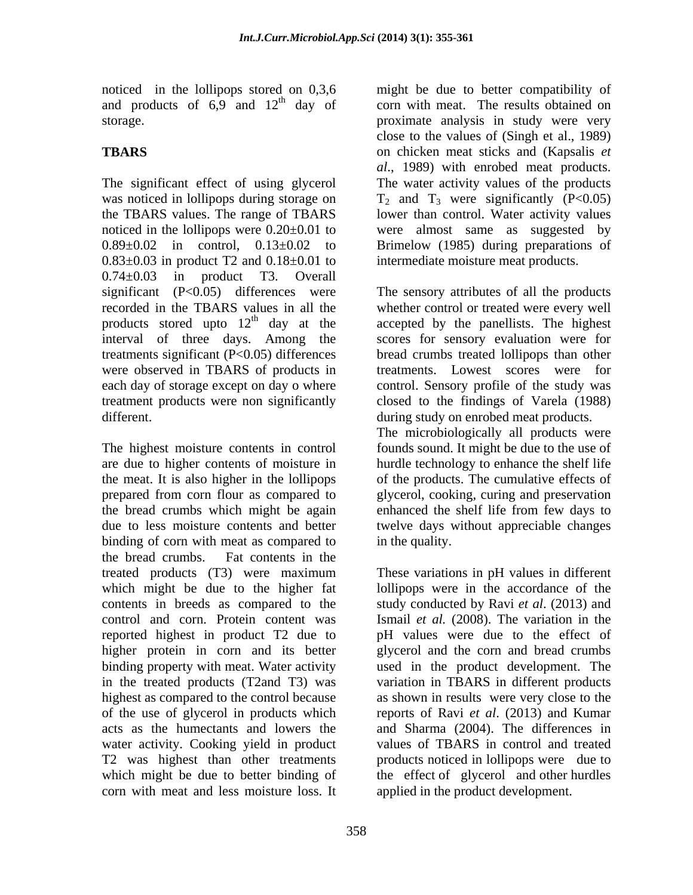and products of  $6.9$  and  $12<sup>th</sup>$  day of

 $0.83 \pm 0.03$  in product T2 and  $0.18 \pm 0.01$  to  $0.74 \pm 0.03$  in product T3. Overall products stored upto  $12<sup>th</sup>$  day at the

The highest moisture contents in control founds sound. It might be due to the use of are due to higher contents of moisture in the meat. It is also higher in the lollipops of the products. The cumulative effects of prepared from corn flour as compared to glycerol, cooking, curing and preservation the bread crumbs which might be again enhanced the shelf life from few days to due to less moisture contents and better twelve days without appreciable changes binding of corn with meat as compared to in the quality. the bread crumbs. Fat contents in the treated products (T3) were maximum which might be due to the higher fat lollipops were in the accordance of the contents in breeds as compared to the study conducted by Ravi *et al*. (2013) and control and corn. Protein content was Ismail *et al.* (2008).The variation in the reported highest in product T2 due to pH values were due to the effect of higher protein in corn and its better binding property with meat. Water activity used in the product development. The in the treated products (T2and T3) was variation in TBARS in different products highest as compared to the control because as shown in results were very close to the of the use of glycerol in products which reports of Ravi *et al*. (2013) and Kumar acts as the humectants and lowers the and Sharma (2004). The differences in water activity. Cooking yield in product T2 was highest than other treatments products noticed in lollipops were dueto which might be due to better binding of the effect of glycerol and other hurdles corn with meat and less moisture loss. It

noticed in the lollipops stored on 0,3,6 might be due to better compatibility of <sup>th</sup> day of corn with meat. The results obtained on storage. proximate analysis in study were very **TBARS** on chicken meat sticks and (Kapsalis *et*  The significant effect of using glycerol The water activity values of the products was noticed in lollipops during storage on  $T_2$  and  $T_3$  were significantly (P<0.05) the TBARS values. The range of TBARS lower than control. Water activity values noticed in the lollipops were 0.20±0.01 to were almost same as suggested by  $0.89\pm0.02$  in control,  $0.13\pm0.02$  to Brimelow (1985) during preparations of close to the values of (Singh et al., 1989) *al*., 1989) with enrobed meat products. intermediate moisture meat products.

significant (P<0.05) differences were The sensory attributes of all the products recorded in the TBARS values in all the whether control or treated were every well <sup>th</sup> day at the accepted by the panellists. The highest interval of three days. Among the scores for sensory evaluation were for treatments significant (P<0.05) differences bread crumbs treated lollipops than other were observed in TBARS of products in treatments. Lowest scores were for each day of storage except on day o where control. Sensory profile of the study was treatment products were non significantly closed to the findings of Varela (1988) different. during study on enrobed meat products. The microbiologically all products were hurdle technology to enhance the shelf life enhanced the shelf life from few days to in the quality.

> These variations in pH values in different glycerol and the corn and bread crumbs values of TBARS in control and treated applied in the product development.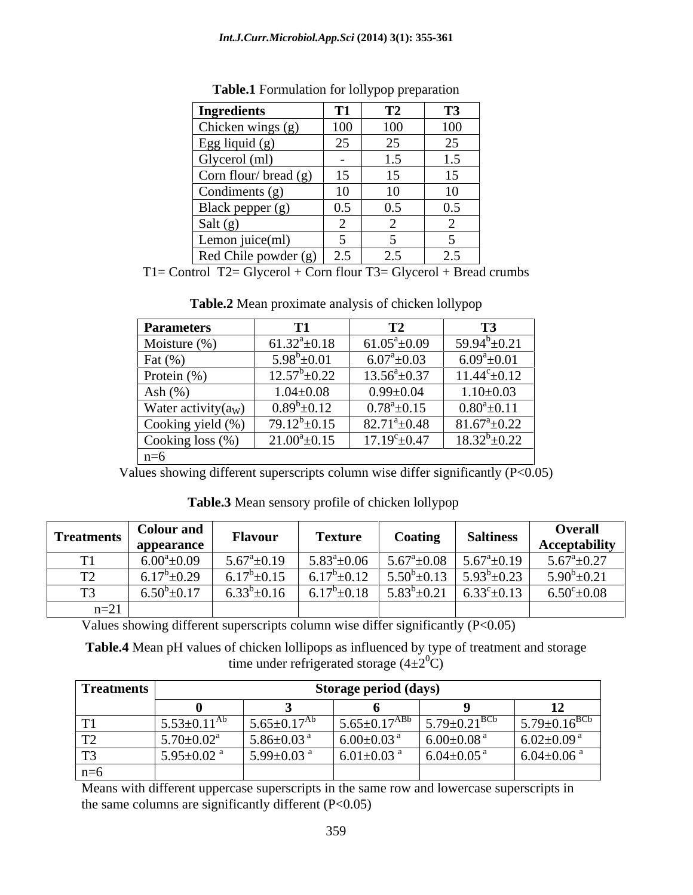| Ingredients          |                                      | Γ2  | <b>T3</b>               |
|----------------------|--------------------------------------|-----|-------------------------|
| Chicken wings (g)    | 100                                  | 100 | 100                     |
| Egg liquid (g)       | $\Omega$<br>$\overline{\phantom{m}}$ | 25  | $\Omega$<br>ر_          |
| Glycerol (ml)        |                                      | 1.5 | $\epsilon$              |
| Corn flour/bread (g) | 15                                   |     |                         |
| Condiments (g)       | 10                                   | 10  | 10                      |
| Black pepper (g)     | ∩ 5<br>$\mathsf{u}.\mathsf{v}$       | 0.5 | $\sim$ 5<br>∪.∪         |
| Salt $(g)$           |                                      |     |                         |
| Lemon juice(ml)      |                                      |     |                         |
| Red Chile powder (g) | 25<br>$\angle . \cup$                | 2.5 | $\gamma$ $\zeta$<br>ن ک |

**Table.1** Formulation for lollypop preparation

T1= Control T2= Glycerol + Corn flour T3= Glycerol + Bread crumbs

| <b>Parameters</b>      |                       | г٨<br>┸ <del></del>        | 1J                    |
|------------------------|-----------------------|----------------------------|-----------------------|
| Moisture $(\%)$        | $61.32^{\circ}$ ±0.18 | $61.05^a \pm 0.09$         | $59.94^b \pm 0.21$    |
| Fat $(\% )$            | $5.98^b \pm 0.01$     | $6.07^{\mathrm{a}}\pm0.03$ | $6.09^a \pm 0.01$     |
| Protein (%)            | $12.57^b \pm 0.22$    | $13.56^a \pm 0.37$         | $11.44^{\circ}$ ±0.12 |
| Ash $(\%)$             | $1.04 \pm 0.08$       | $0.99 \pm 0.04$            | $1.10 \pm 0.03$       |
| Water activity $(a_W)$ | $0.89^b \pm 0.12$     | $0.78^{\circ}$ ±0.15       | $0.80^a \pm 0.11$     |
| Cooking yield (%)      | $79.12^b \pm 0.15$    | $82.71^{\circ} \pm 0.48$   | $81.67^{\circ}$ ±0.22 |
| Cooking loss $(\%)$    | $21.00^{\circ}$ ±0.15 | $17.19^{\circ}$ ±0.47      | $18.32^b \pm 0.22$    |
| $n=6$                  |                       |                            |                       |

**Table.2** Mean proximate analysis of chicken lollypop

Values showing different superscripts column wise differ significantly (P<0.05)

**Table.3** Mean sensory profile of chicken lollypop

| <sup>1</sup> Treatments | <b>Colour and</b><br>appearance | <b><i>Flavour</i></b> | <b>Texture</b>       | Coating           | <b>Saltiness</b>                                    | <b>Overall</b><br><b>Acceptability</b> |
|-------------------------|---------------------------------|-----------------------|----------------------|-------------------|-----------------------------------------------------|----------------------------------------|
| 1 T                     | $-0.09$<br>6.00 <sup>a</sup>    | $5.67^{\circ}$ ±0.19  | $5.83^{\circ}$ ±0.06 |                   | $5.67^{\text{a}}\pm0.08$   $5.67^{\text{a}}\pm0.19$ | $5.67^{\circ}$ ±0.27                   |
|                         | $-0.20$                         | $6.17^b \pm 0.15$     | $6.17^b \pm 0.12$    | $5.50^b \pm 0.13$ | $5.93^b \pm 0.23$                                   | $5.90^b \pm 0.21$                      |
| $\sim$                  | $\bigwedge$ 1 $\bigcap$         | $6.33^{b} \pm 0.16$   | $6.17^b \pm 0.18$    | $5.83^b \pm 0.21$ | 6.33 $^{\circ}$ ±0.13                               | $6.50^{\circ}$ ± $0.08$                |
| $n=21$                  |                                 |                       |                      |                   |                                                     |                                        |

Values showing different superscripts column wise differ significantly  $(P<0.05)$ 

**Table.4** Mean pH values of chicken lollipops as influenced by type of treatment and storage time under refrigerated storage  $(4\pm 2^{0}C)$ 

| <b>Treatments</b> |                            |                               | Storage period (days)        |                                |                      |
|-------------------|----------------------------|-------------------------------|------------------------------|--------------------------------|----------------------|
|                   |                            |                               |                              |                                |                      |
| $\mathbf{r}$      | $5.53 \pm 0.11^{Ab}$       | $5.65 \pm 0.17$ <sup>At</sup> | $5.65 \pm 0.17^{ABD}$        | $5.79 \pm 0.21$ <sup>BCb</sup> | $5.79 \pm 0.16^{BC}$ |
|                   | $5.70 \pm 0.02^a$          | $5.86 \pm 0.03$ <sup>a</sup>  | $6.00 \pm 0.03$ <sup>a</sup> | $+6.00\pm0.08$ <sup>a</sup>    | $6.02{\pm}0.09$ a    |
|                   | 5.95 $\pm$ 0.02 $^{\rm a}$ | 5.99 $\pm$ 0.03 $^{a}$        | 6.01 $\pm$ 0.03 <sup>a</sup> | $+6.04\pm0.05$ <sup>a</sup>    | $6.04{\pm}0.06$ a    |
| $n=6$             |                            |                               |                              |                                |                      |

Means with different uppercase superscripts in the same row and lowercase superscripts in the same columns are significantly different  $(P<0.05)$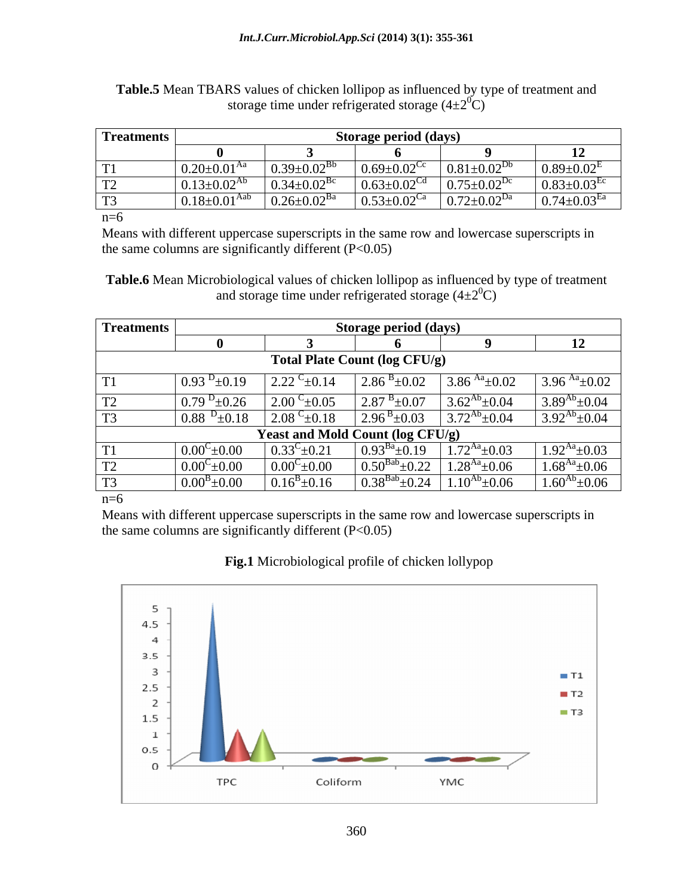| <b>Treatments</b> |                                  | Storage period (days)         |                               |                     |                               |
|-------------------|----------------------------------|-------------------------------|-------------------------------|---------------------|-------------------------------|
|                   |                                  |                               |                               |                     |                               |
|                   | 0.20+0.01 <sup>Aa</sup><br>20.01 | $0.39 \pm 0.02^{Bb}$          | $0.69 \pm 0.02$ <sup>Cc</sup> | $0.81 \pm 0.02^{D}$ | $0.89 \pm 0.02$ <sup>E</sup>  |
|                   | $0.13 \pm 0.02^{Ab}$             | $0.34 \pm 0.02$ <sup>Bc</sup> | $0.63 \pm 0.02^{\text{Cd}}$   | $0.75 \pm 0.02^D$   | $0.83 \pm 0.03$ <sup>Ec</sup> |
|                   | $0.18 \pm 0.01$                  | $0.26 \pm 0.02$ <sup>Ba</sup> | $0.53 \pm 0.02$ <sup>Ca</sup> | $0.72 \pm 0.02^{D}$ | $0.74 \pm 0.03$ <sup>Ea</sup> |

**Table.5** Mean TBARS values of chicken lollipop as influenced by type of treatment and storage time under refrigerated storage  $(4\pm2^{0}C)$ 

 $n=6$ 

Means with different uppercase superscripts in the same row and lowercase superscripts in the same columns are significantly different  $(P<0.05)$ 

**Table.6** Mean Microbiological values of chicken lollipop as influenced by type of treatment and storage time under refrigerated storage  $(4\pm2^{0}C)$ 

| <b>Treatments</b> |                      |                                  | <b>Storage period (days)</b>            |                      |                      |
|-------------------|----------------------|----------------------------------|-----------------------------------------|----------------------|----------------------|
|                   |                      |                                  |                                         |                      | -14                  |
|                   |                      |                                  | <b>Total Plate Count (log CFU/g)</b>    |                      |                      |
| T <sub>1</sub>    | 0.93<br>$^{2}$ ±0.19 | $C_{\pm 0.14}$<br>$2.22^{\circ}$ | $2.86^{B} \pm 0.02$                     | 3.86 $^{Aa}$ ±0.02   | 3.96 $^{Aa}$ ± 0.02  |
| T <sub>2</sub>    | 0.79<br>$^{D}$ ±0.26 | $C_{\pm 0.05}$<br>2.00           | $2.87^{B} \pm 0.07$                     | $3.62^{Ab} \pm 0.04$ | $3.89^{Ab} \pm 0.04$ |
| T <sub>3</sub>    | 0.88<br>$\pm 0.18$   | 2.08 $^{\circ}$ ±0.18            | $2.96^{B} \pm 0.03$                     | $3.72^{Ab} \pm 0.04$ | $3.92^{Ab} \pm 0.04$ |
|                   |                      |                                  | <b>Yeast and Mold Count (log CFU/g)</b> |                      |                      |
| T <sub>1</sub>    | $0.00^{\circ}$ ±0.00 | $0.33^{\circ}$ ± 0.21            | $0.93^{Ba}$<br>$\pm 0.19$               | $1.72^{Aa} \pm 0.03$ | $1.92^{Aa} \pm 0.03$ |
| T2                | $0.00^{\circ}$ ±0.00 | $0.00^{\rm C}$ ±0.00             | $0.50^{Bab}$<br>$^{\prime}$ ±0.22       | $1.28^{Aa}$ ±0.06    | $1.68^{Aa} \pm 0.06$ |
| T <sub>3</sub>    | $0.00^{\rm B}$ ±0.00 | $0.16^{\rm B} \pm 0.16$          | $0.38^{Bab}$<br>$\Box$ 24               | $10^{Ab}$ ± 0.06     | $1.60^{Ab} \pm 0.06$ |
| $n=6$             |                      |                                  |                                         |                      |                      |

Means with different uppercase superscripts in the same row and lowercase superscripts in the same columns are significantly different  $(P<0.05)$ 

## **Fig.1** Microbiological profile of chicken lollypop